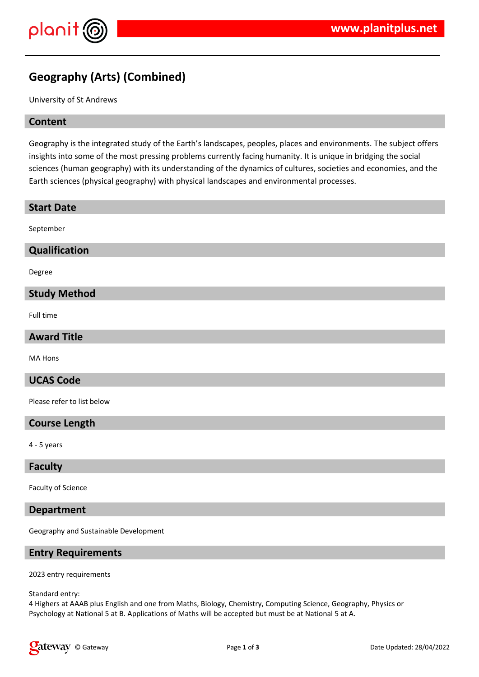

# **Geography (Arts) (Combined)**

University of St Andrews

#### **Content**

Geography is the integrated study of the Earth's landscapes, peoples, places and environments. The subject offers insights into some of the most pressing problems currently facing humanity. It is unique in bridging the social sciences (human geography) with its understanding of the dynamics of cultures, societies and economies, and the Earth sciences (physical geography) with physical landscapes and environmental processes.

| <b>Start Date</b>          |
|----------------------------|
| September                  |
| Qualification              |
| Degree                     |
| <b>Study Method</b>        |
| Full time                  |
| <b>Award Title</b>         |
| MA Hons                    |
| <b>UCAS Code</b>           |
| Please refer to list below |
| <b>Course Length</b>       |
| $4 - 5$ years              |

#### **Faculty**

Faculty of Science

#### **Department**

Geography and Sustainable Development

#### **Entry Requirements**

2023 entry requirements

Standard entry:

4 Highers at AAAB plus English and one from Maths, Biology, Chemistry, Computing Science, Geography, Physics or Psychology at National 5 at B. Applications of Maths will be accepted but must be at National 5 at A.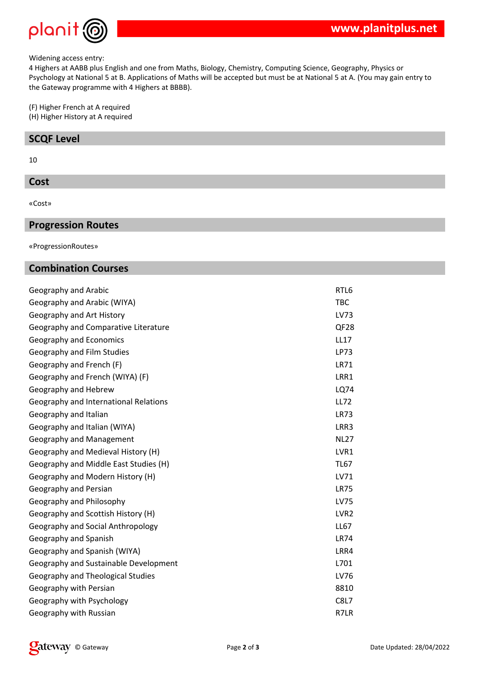

#### Widening access entry:

4 Highers at AABB plus English and one from Maths, Biology, Chemistry, Computing Science, Geography, Physics or Psychology at National 5 at B. Applications of Maths will be accepted but must be at National 5 at A. (You may gain entry to the Gateway programme with 4 Highers at BBBB).

(F) Higher French at A required

(H) Higher History at A required

## **SCQF Level**

10

#### **Cost**

«Cost»

### **Progression Routes**

«ProgressionRoutes»

## **Combination Courses**

| Geography and Arabic                     | RTL6             |
|------------------------------------------|------------------|
| Geography and Arabic (WIYA)              | <b>TBC</b>       |
| Geography and Art History                | LV73             |
| Geography and Comparative Literature     | QF <sub>28</sub> |
| Geography and Economics                  | <b>LL17</b>      |
| Geography and Film Studies               | <b>LP73</b>      |
| Geography and French (F)                 | <b>LR71</b>      |
| Geography and French (WIYA) (F)          | LRR1             |
| Geography and Hebrew                     | LQ74             |
| Geography and International Relations    | <b>LL72</b>      |
| Geography and Italian                    | <b>LR73</b>      |
| Geography and Italian (WIYA)             | LRR3             |
| Geography and Management                 | <b>NL27</b>      |
| Geography and Medieval History (H)       | LVR1             |
| Geography and Middle East Studies (H)    | <b>TL67</b>      |
| Geography and Modern History (H)         | LV71             |
| Geography and Persian                    | <b>LR75</b>      |
| Geography and Philosophy                 | <b>LV75</b>      |
| Geography and Scottish History (H)       | LVR <sub>2</sub> |
| Geography and Social Anthropology        | <b>LL67</b>      |
| Geography and Spanish                    | <b>LR74</b>      |
| Geography and Spanish (WIYA)             | LRR4             |
| Geography and Sustainable Development    | L701             |
| <b>Geography and Theological Studies</b> | LV76             |
| Geography with Persian                   | 8810             |
| Geography with Psychology                | <b>C8L7</b>      |
| Geography with Russian                   | R7LR             |